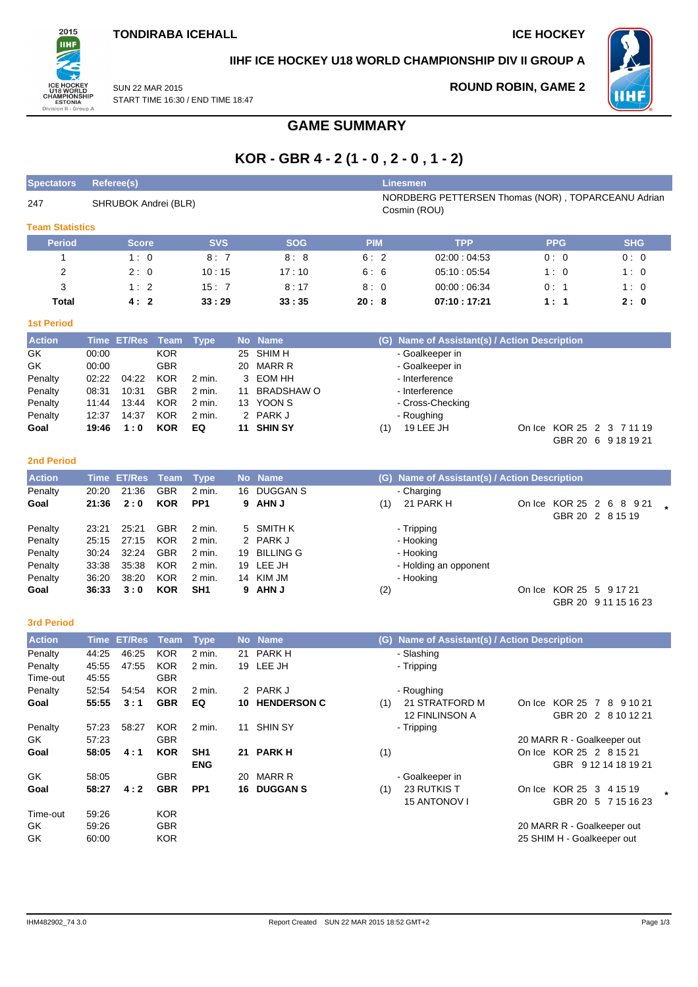

### **IIHF ICE HOCKEY U18 WORLD CHAMPIONSHIP DIV II GROUP A**

SUN 22 MAR 2015 START TIME 16:30 / END TIME 18:47 **ROUND ROBIN, GAME 2**



**GAME SUMMARY**

# **KOR - GBR 4 - 2 (1 - 0 , 2 - 0 , 1 - 2)**

| <b>Spectators</b>      |                | <b>Referee(s)</b>    |                          |                  |         |                                   |            |     | <b>Linesmen</b>                                                    |            |                            |  |
|------------------------|----------------|----------------------|--------------------------|------------------|---------|-----------------------------------|------------|-----|--------------------------------------------------------------------|------------|----------------------------|--|
| 247                    |                | SHRUBOK Andrei (BLR) |                          |                  |         |                                   |            |     | NORDBERG PETTERSEN Thomas (NOR), TOPARCEANU Adrian<br>Cosmin (ROU) |            |                            |  |
| <b>Team Statistics</b> |                |                      |                          |                  |         |                                   |            |     |                                                                    |            |                            |  |
| <b>Period</b>          |                | <b>Score</b>         |                          | <b>SVS</b>       |         | <b>SOG</b>                        | <b>PIM</b> |     | <b>TPP</b>                                                         | <b>PPG</b> | <b>SHG</b>                 |  |
| 1                      |                | 1:0                  |                          | 8:7              |         | 8:8                               | 6:2        |     | 02:00:04:53                                                        | 0:0        | 0:0                        |  |
| 2                      |                | 2:0                  |                          | 10:15            |         | 17:10                             | 6:6        |     | 05:10:05:54                                                        | 1:0        | 1:0                        |  |
| 3                      |                | 1:2                  |                          | 15:7             |         | 8:17                              | 8:0        |     | 00:00:06:34                                                        | 0:1        | 1:0                        |  |
| Total                  |                | 4:2                  |                          | 33:29            |         | 33:35                             | 20:8       |     | 07:10:17:21                                                        | 1:1        | 2:0                        |  |
| <b>1st Period</b>      |                |                      |                          |                  |         |                                   |            |     |                                                                    |            |                            |  |
| <b>Action</b>          |                | Time ET/Res          | <b>Team</b>              | <b>Type</b>      |         | No Name                           |            |     | (G) Name of Assistant(s) / Action Description                      |            |                            |  |
| GK                     | 00:00          |                      | <b>KOR</b>               |                  | 25      | SHIM H                            |            |     | - Goalkeeper in                                                    |            |                            |  |
| GK                     | 00:00          |                      | <b>GBR</b>               |                  | 20      | <b>MARR R</b>                     |            |     | - Goalkeeper in                                                    |            |                            |  |
| Penalty                | 02:22          | 04:22                | <b>KOR</b>               | 2 min.           | 3       | <b>EOM HH</b>                     |            |     | - Interference                                                     |            |                            |  |
| Penalty                | 08:31          | 10:31                | <b>GBR</b>               | 2 min.           | 11      | <b>BRADSHAW O</b>                 |            |     | - Interference                                                     |            |                            |  |
| Penalty                | 11:44          | 13:44                | <b>KOR</b>               | 2 min.           |         | 13 YOON S                         |            |     | - Cross-Checking                                                   |            |                            |  |
| Penalty                | 12:37          | 14:37                | <b>KOR</b>               | 2 min.           |         | 2 PARK J                          |            |     | - Roughing                                                         |            |                            |  |
| Goal                   | 19:46          | 1:0                  | <b>KOR</b>               | EQ               |         | 11 SHIN SY                        |            | (1) | 19 LEE JH                                                          |            | On Ice KOR 25 2 3 7 11 19  |  |
|                        |                |                      |                          |                  |         |                                   |            |     |                                                                    |            | GBR 20 6 9 18 19 21        |  |
| <b>2nd Period</b>      |                |                      |                          |                  |         |                                   |            |     |                                                                    |            |                            |  |
| <b>Action</b>          |                | <b>Time ET/Res</b>   | <b>Team</b>              | <b>Type</b>      |         | No Name                           |            |     | (G) Name of Assistant(s) / Action Description                      |            |                            |  |
| Penalty                | 20:20          | 21:36                | <b>GBR</b>               | 2 min.           |         | 16 DUGGAN S                       |            |     | - Charging                                                         |            |                            |  |
| Goal                   | 21:36          | 2:0                  | <b>KOR</b>               | PP <sub>1</sub>  | 9       | <b>AHN J</b>                      |            | (1) | 21 PARK H                                                          |            | On Ice KOR 25 2 6 8 9 21   |  |
|                        |                |                      |                          |                  |         |                                   |            |     |                                                                    |            | GBR 20 2 8 15 19           |  |
| Penalty                | 23:21          | 25:21                | <b>GBR</b>               | 2 min.           | 5       | <b>SMITH K</b>                    |            |     | - Tripping                                                         |            |                            |  |
| Penalty                | 25:15<br>30:24 | 27:15<br>32:24       | <b>KOR</b><br><b>GBR</b> | 2 min.<br>2 min. | 2<br>19 | <b>PARK J</b><br><b>BILLING G</b> |            |     | - Hooking                                                          |            |                            |  |
| Penalty<br>Penalty     | 33:38          | 35:38                | <b>KOR</b>               | 2 min.           | 19      | LEE JH                            |            |     | - Hooking<br>- Holding an opponent                                 |            |                            |  |
| Penalty                | 36:20          | 38:20                | <b>KOR</b>               | 2 min.           | 14      | KIM JM                            |            |     | - Hooking                                                          |            |                            |  |
| Goal                   | 36:33          | 3:0                  | <b>KOR</b>               | SH1              | 9       | <b>AHN J</b>                      |            | (2) |                                                                    |            | On Ice KOR 25 5 9 17 21    |  |
|                        |                |                      |                          |                  |         |                                   |            |     |                                                                    |            | GBR 20 9 11 15 16 23       |  |
|                        |                |                      |                          |                  |         |                                   |            |     |                                                                    |            |                            |  |
| <b>3rd Period</b>      |                |                      |                          |                  |         |                                   |            |     |                                                                    |            |                            |  |
| <b>Action</b>          |                | <b>Time ET/Res</b>   | <b>Team</b>              | <b>Type</b>      |         | No Name                           |            |     | (G) Name of Assistant(s) / Action Description                      |            |                            |  |
| Penalty<br>Penalty     | 44:25<br>45:55 | 46:25<br>47:55       | <b>KOR</b><br><b>KOR</b> | 2 min.<br>2 min. | 21      | PARK H<br>19 LEE JH               |            |     | - Slashing<br>- Tripping                                           |            |                            |  |
| Time-out               | 45:55          |                      | <b>GBR</b>               |                  |         |                                   |            |     |                                                                    |            |                            |  |
| Penalty                | 52:54          | 54:54                | <b>KOR</b>               | 2 min.           |         | 2 PARK J                          |            |     | - Roughing                                                         |            |                            |  |
| Goal                   | 55:55          | 3:1                  | <b>GBR</b>               | EQ               |         | 10 HENDERSON C                    |            |     | (1) 21 STRATFORD M                                                 |            | On Ice KOR 25 7 8 9 10 21  |  |
|                        |                |                      |                          |                  |         |                                   |            |     | 12 FINLINSON A                                                     |            | GBR 20 2 8 10 12 21        |  |
| Penalty                | 57:23          | 58:27                | <b>KOR</b>               | 2 min.           |         | 11 SHIN SY                        |            |     | - Tripping                                                         |            |                            |  |
| GK                     | 57:23          |                      | <b>GBR</b>               |                  |         |                                   |            |     |                                                                    |            | 20 MARR R - Goalkeeper out |  |
| Goal                   | 58:05          | 4:1                  | <b>KOR</b>               | SH <sub>1</sub>  |         | 21 PARK H                         |            | (1) |                                                                    |            | On Ice KOR 25 2 8 15 21    |  |
|                        |                |                      |                          | <b>ENG</b>       |         |                                   |            |     |                                                                    |            | GBR 9 12 14 18 19 21       |  |
| GK                     | 58:05          |                      | <b>GBR</b>               |                  |         | 20 MARR R                         |            |     | - Goalkeeper in                                                    |            |                            |  |
| Goal                   | 58:27          | 4:2                  | <b>GBR</b>               | PP <sub>1</sub>  |         | 16 DUGGAN S                       |            | (1) | 23 RUTKIS T                                                        |            | On Ice KOR 25 3 4 15 19    |  |
| Time-out               | 59:26          |                      | <b>KOR</b>               |                  |         |                                   |            |     | 15 ANTONOV I                                                       |            | GBR 20 5 7 15 16 23        |  |
| GK                     | 59:26          |                      | <b>GBR</b>               |                  |         |                                   |            |     |                                                                    |            | 20 MARR R - Goalkeeper out |  |
| GK                     | 60:00          |                      | <b>KOR</b>               |                  |         |                                   |            |     |                                                                    |            | 25 SHIM H - Goalkeeper out |  |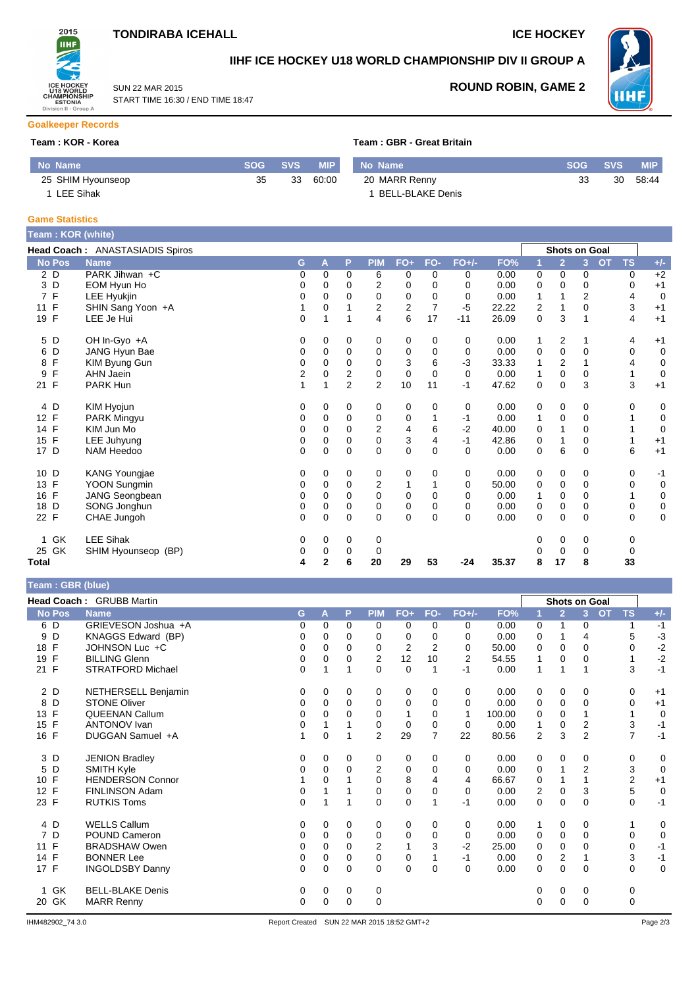## **TONDIRABA ICEHALL ICE HOCKEY**

START TIME 16:30 / END TIME 18:47

SUN 22 MAR 2015



## **IIHF ICE HOCKEY U18 WORLD CHAMPIONSHIP DIV II GROUP A**



**ROUND ROBIN, GAME 2**

#### **Goalkeeper Records**

#### **Team : KOR - Korea Team : GREAT BRITAIN**

|  |  | 「eam:GBR-Great Britain |
|--|--|------------------------|
|  |  |                        |

| No Name           |    | SOG SVS | <b>MIP</b> | No Name          | $\sim$ SOG $\sim$ | <b>SVS</b> | MIP.  |
|-------------------|----|---------|------------|------------------|-------------------|------------|-------|
| 25 SHIM Hyounseop | 35 | 33      | 60:00      | 20 MARR Renny    |                   | 30         | 58:44 |
| <b>LEE Sihak</b>  |    |         |            | BELL-BLAKE Denis |                   |            |       |

#### **Game Statistics**

| Team: KOR (white)  |                                 |          |             |                |                         |              |                |          |       |             |                      |                |                        |             |
|--------------------|---------------------------------|----------|-------------|----------------|-------------------------|--------------|----------------|----------|-------|-------------|----------------------|----------------|------------------------|-------------|
|                    | Head Coach: ANASTASIADIS Spiros |          |             |                |                         |              |                |          |       |             | <b>Shots on Goal</b> |                |                        |             |
| <b>No Pos</b>      | <b>Name</b>                     | G        | A           | P              | <b>PIM</b>              | $FO+$        | FO-            | $FO+/-$  | FO%   |             | $\overline{2}$       | 3              | <b>TS</b><br><b>OT</b> | $+/-$       |
| 2 D                | PARK Jihwan +C                  | 0        | 0           | 0              | 6                       | 0            | 0              | 0        | 0.00  | 0           | 0                    | 0              | 0                      | $+2$        |
| 3 D                | EOM Hyun Ho                     | 0        | 0           | $\Omega$       | 2                       | 0            | 0              | 0        | 0.00  | 0           | 0                    | $\Omega$       | 0                      | $+1$        |
| 7 F                | LEE Hyukjin                     | 0        | $\Omega$    | $\Omega$       | 0                       | 0            | 0              | 0        | 0.00  | 1           |                      | $\overline{2}$ | 4                      | $\mathbf 0$ |
| 11 F               | SHIN Sang Yoon +A               |          | 0           |                | 2                       | 2            | $\overline{7}$ | $-5$     | 22.22 | 2           |                      | $\mathbf 0$    | 3                      | $+1$        |
| 19 F               | LEE Je Hui                      | $\Omega$ | 1           |                | 4                       | 6            | 17             | $-11$    | 26.09 | 0           | 3                    | 1              | 4                      | $+1$        |
| 5 D                | OH In-Gyo +A                    | 0        | 0           | 0              | 0                       | 0            | 0              | 0        | 0.00  | 1           | 2                    |                | 4                      | $+1$        |
| D<br>6             | JANG Hyun Bae                   | 0        | 0           | 0              | 0                       | 0            | 0              | 0        | 0.00  | 0           | 0                    | 0              | 0                      | 0           |
| F<br>8             | KIM Byung Gun                   | 0        | 0           | $\mathbf 0$    | $\mathbf 0$             | 3            | 6              | $-3$     | 33.33 |             | 2                    |                | 4                      | 0           |
| F<br>9             | <b>AHN Jaein</b>                | 2        | 0           | $\overline{2}$ | 0                       | $\mathbf 0$  | $\Omega$       | $\Omega$ | 0.00  | 1           | $\mathbf 0$          | 0              |                        | 0           |
| 21 F               | PARK Hun                        |          |             | $\overline{2}$ | $\overline{2}$          | 10           | 11             | $-1$     | 47.62 | 0           | 0                    | 3              | 3                      | $+1$        |
| 4 D                | KIM Hyojun                      | 0        | 0           | 0              | 0                       | 0            | 0              | 0        | 0.00  | 0           | 0                    | 0              | 0                      | 0           |
| 12 F               | PARK Mingyu                     | 0        | 0           | 0              | 0                       | 0            |                | $-1$     | 0.00  | 1           | 0                    | $\mathbf 0$    |                        | 0           |
| 14 F               | KIM Jun Mo                      | 0        | $\Omega$    | $\Omega$       | $\overline{2}$          | 4            | 6              | $-2$     | 40.00 | 0           |                      | 0              |                        | 0           |
| F<br>15            | LEE Juhyung                     | 0        | 0           | $\mathbf 0$    | $\mathbf 0$             | 3            | 4              | $-1$     | 42.86 | 0           |                      | $\mathbf 0$    |                        | $+1$        |
| 17 D               | NAM Heedoo                      | $\Omega$ | 0           | $\Omega$       | $\mathbf 0$             | $\mathbf 0$  | $\Omega$       | $\Omega$ | 0.00  | $\mathbf 0$ | 6                    | $\Omega$       | 6                      | $+1$        |
| 10 D               | KANG Youngjae                   | 0        | 0           | 0              | 0                       | 0            | 0              | 0        | 0.00  | 0           | 0                    | 0              | 0                      | $-1$        |
| F<br>13            | YOON Sungmin                    | 0        | 0           | 0              | $\overline{\mathbf{c}}$ | $\mathbf{1}$ |                | 0        | 50.00 | 0           | 0                    | 0              | 0                      | 0           |
| $\mathsf{F}$<br>16 | JANG Seongbean                  | 0        | $\Omega$    | $\Omega$       | 0                       | 0            | 0              | $\Omega$ | 0.00  | 1           | 0                    | $\mathbf 0$    |                        | 0           |
| 18 D               | SONG Jonghun                    | 0        | 0           | 0              | 0                       | $\mathbf 0$  | 0              | 0        | 0.00  | 0           | 0                    | 0              | 0                      | 0           |
| 22 F               | CHAE Jungoh                     | 0        | 0           | $\Omega$       | $\Omega$                | $\mathbf 0$  | $\Omega$       | $\Omega$ | 0.00  | 0           | 0                    | $\Omega$       | 0                      | 0           |
| GK<br>1            | <b>LEE Sihak</b>                | 0        | 0           | 0              | 0                       |              |                |          |       | 0           | 0                    | 0              | 0                      |             |
| 25 GK              | SHIM Hyounseop (BP)             | 0        | 0           | 0              | 0                       |              |                |          |       | 0           | 0                    | 0              | 0                      |             |
| Total              |                                 | 4        | $\mathbf 2$ | 6              | 20                      | 29           | 53             | $-24$    | 35.37 | 8           | 17                   | 8              | 33                     |             |

| Team: GBR (blue) |  |  |
|------------------|--|--|
|------------------|--|--|

|                     | <b>Head Coach: GRUBB Martin</b> |          |          |             |                |                |          |                |        |             |                | <b>Shots on Goal</b>        |                |             |
|---------------------|---------------------------------|----------|----------|-------------|----------------|----------------|----------|----------------|--------|-------------|----------------|-----------------------------|----------------|-------------|
| <b>No Pos</b>       | <b>Name</b>                     | G.       | A        | P           | <b>PIM</b>     | $FO+$          | FO-      | $FO+/-$        | FO%    |             | $\overline{2}$ | <b>OT</b><br>3 <sup>1</sup> | <b>TS</b>      | $+/-$       |
| 6 D                 | GRIEVESON Joshua +A             | 0        | 0        | $\Omega$    | 0              | 0              | $\Omega$ | 0              | 0.00   | 0           | 1              | 0                           |                | $-1$        |
| D<br>9              | KNAGGS Edward (BP)              | 0        | 0        | 0           | 0              | 0              | 0        | 0              | 0.00   | 0           |                | 4                           | 5              | $-3$        |
| 18 F                | JOHNSON Luc +C                  | 0        | 0        | $\Omega$    | 0              | $\overline{2}$ | 2        | 0              | 50.00  | 0           | 0              | $\Omega$                    | 0              | $-2$        |
| F<br>19             | <b>BILLING Glenn</b>            | 0        | $\Omega$ | $\Omega$    | $\overline{2}$ | 12             | 10       | $\overline{2}$ | 54.55  |             | $\Omega$       | 0                           |                | $-2$        |
| 21 F                | STRATFORD Michael               | $\Omega$ |          |             | $\Omega$       | $\mathbf 0$    | 1        | $-1$           | 0.00   | 1           | 1              |                             | 3              | $-1$        |
| 2 D                 | NETHERSELL Benjamin             | 0        | 0        | 0           | 0              | 0              | 0        | 0              | 0.00   | 0           | 0              | 0                           | 0              | $+1$        |
| D<br>8              | <b>STONE Oliver</b>             | 0        | 0        | $\Omega$    | 0              | $\mathbf 0$    | $\Omega$ | $\Omega$       | 0.00   | 0           | 0              | $\Omega$                    | $\Omega$       | $+1$        |
| F<br>13             | <b>QUEENAN Callum</b>           | 0        | 0        | $\Omega$    | 0              | 1              | 0        | $\mathbf 1$    | 100.00 | 0           | $\Omega$       |                             |                | $\mathbf 0$ |
| $\mathsf{F}$<br>15  | <b>ANTONOV</b> Ivan             | 0        |          |             | 0              | 0              | $\Omega$ | 0              | 0.00   |             | $\mathbf 0$    | 2                           | 3              | $-1$        |
| 16 F                | DUGGAN Samuel +A                |          | 0        |             | $\overline{2}$ | 29             | 7        | 22             | 80.56  | 2           | 3              | $\overline{2}$              | 7              | $-1$        |
| 3 D                 | <b>JENION Bradley</b>           | 0        | 0        | $\mathbf 0$ | 0              | 0              | 0        | 0              | 0.00   | $\mathbf 0$ | $\mathbf 0$    | 0                           | 0              | $\mathbf 0$ |
| D<br>5              | SMITH Kyle                      | 0        | 0        | $\Omega$    | $\overline{2}$ | 0              | 0        | 0              | 0.00   | $\mathbf 0$ | 1              | 2                           | 3              | $\mathbf 0$ |
| 10 F                | <b>HENDERSON Connor</b>         |          | $\Omega$ |             | $\Omega$       | 8              | 4        | 4              | 66.67  | 0           |                |                             | $\overline{2}$ | $+1$        |
| 12 F                | <b>FINLINSON Adam</b>           | 0        |          |             | 0              | $\mathbf 0$    | 0        | 0              | 0.00   | 2           | 0              | 3                           | 5              | $\mathbf 0$ |
| 23 F                | <b>RUTKIS Toms</b>              | 0        |          |             | $\Omega$       | 0              |          | -1             | 0.00   | 0           | $\mathbf 0$    | $\Omega$                    | $\mathbf 0$    | $-1$        |
| 4 D                 | <b>WELLS Callum</b>             | 0        | 0        | 0           | 0              | 0              | 0        | 0              | 0.00   | 1           | 0              | 0                           |                | 0           |
| D<br>$\overline{7}$ | POUND Cameron                   | 0        | 0        | $\mathbf 0$ | 0              | 0              | 0        | 0              | 0.00   | $\mathbf 0$ | 0              | $\Omega$                    | 0              | $\mathbf 0$ |
| 11 F                | <b>BRADSHAW Owen</b>            | 0        | $\Omega$ | $\Omega$    | 2              | 1              | 3        | $-2$           | 25.00  | $\mathbf 0$ | $\Omega$       | $\Omega$                    | $\mathbf 0$    | $-1$        |
| 14 F                | <b>BONNER Lee</b>               | 0        | 0        | $\Omega$    | $\mathbf 0$    | 0              |          | -1             | 0.00   | 0           | $\overline{2}$ |                             | 3              | $-1$        |
| 17 F                | <b>INGOLDSBY Danny</b>          | 0        | $\Omega$ | $\Omega$    | $\Omega$       | $\mathbf 0$    | 0        | $\Omega$       | 0.00   | $\Omega$    | $\Omega$       | $\Omega$                    | 0              | $\mathbf 0$ |
| GK                  | <b>BELL-BLAKE Denis</b>         | 0        | 0        | 0           | 0              |                |          |                |        | 0           | 0              | 0                           | 0              |             |
| GK<br>20            | <b>MARR Renny</b>               | 0        | 0        | $\mathbf 0$ | 0              |                |          |                |        | 0           | $\Omega$       | $\Omega$                    | 0              |             |
|                     |                                 |          |          |             |                |                |          |                |        |             |                |                             |                |             |